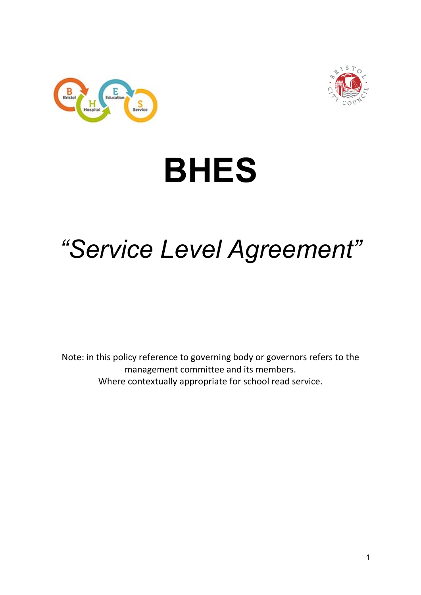



# **BHES**

# *"Service Level Agreement"*

<span id="page-0-1"></span><span id="page-0-0"></span>Note: in this policy reference to governing body or governors refers to the management committee and its members. Where contextually appropriate for school read service.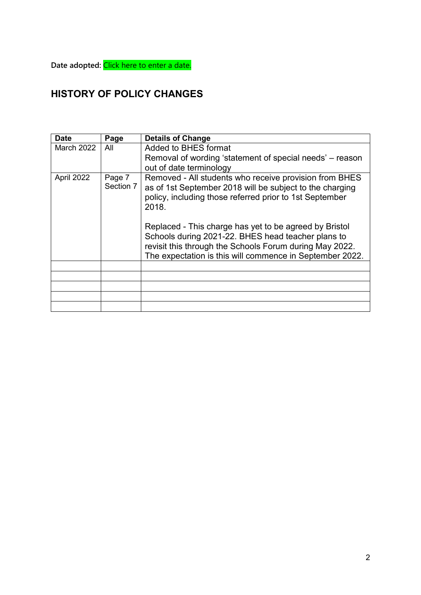**Date adopted:** Click here to enter a date.

## **HISTORY OF POLICY CHANGES**

| <b>Date</b>       | Page                | <b>Details of Change</b>                                                                                                                                                                                                            |
|-------------------|---------------------|-------------------------------------------------------------------------------------------------------------------------------------------------------------------------------------------------------------------------------------|
| <b>March 2022</b> | All                 | Added to BHES format<br>Removal of wording 'statement of special needs' – reason                                                                                                                                                    |
|                   |                     | out of date terminology                                                                                                                                                                                                             |
| April 2022        | Page 7<br>Section 7 | Removed - All students who receive provision from BHES<br>as of 1st September 2018 will be subject to the charging<br>policy, including those referred prior to 1st September<br>2018.                                              |
|                   |                     | Replaced - This charge has yet to be agreed by Bristol<br>Schools during 2021-22. BHES head teacher plans to<br>revisit this through the Schools Forum during May 2022.<br>The expectation is this will commence in September 2022. |
|                   |                     |                                                                                                                                                                                                                                     |
|                   |                     |                                                                                                                                                                                                                                     |
|                   |                     |                                                                                                                                                                                                                                     |
|                   |                     |                                                                                                                                                                                                                                     |
|                   |                     |                                                                                                                                                                                                                                     |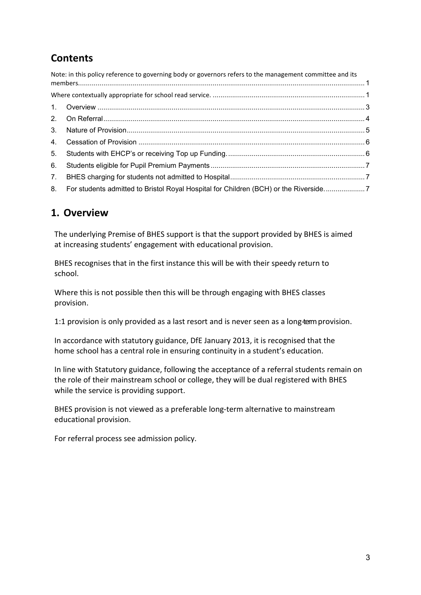# **Contents**

|    | Note: in this policy reference to governing body or governors refers to the management committee and its |  |
|----|----------------------------------------------------------------------------------------------------------|--|
|    |                                                                                                          |  |
|    |                                                                                                          |  |
|    |                                                                                                          |  |
|    |                                                                                                          |  |
|    |                                                                                                          |  |
| 5. |                                                                                                          |  |
| 6. |                                                                                                          |  |
|    |                                                                                                          |  |
|    | 8. For students admitted to Bristol Royal Hospital for Children (BCH) or the Riverside7                  |  |

#### <span id="page-2-0"></span>**1. Overview**

The underlying Premise of BHES support is that the support provided by BHES is aimed at increasing students' engagement with educational provision.

BHES recognises that in the first instance this will be with their speedy return to school.

Where this is not possible then this will be through engaging with BHES classes provision.

1:1 provision is only provided as a last resort and is never seen as a long-term provision.

In accordance with statutory guidance, DfE January 2013, it is recognised that the home school has a central role in ensuring continuity in a student's education.

In line with Statutory guidance, following the acceptance of a referral students remain on the role of their mainstream school or college, they will be dual registered with BHES while the service is providing support.

BHES provision is not viewed as a preferable long-term alternative to mainstream educational provision.

For referral process see admission policy.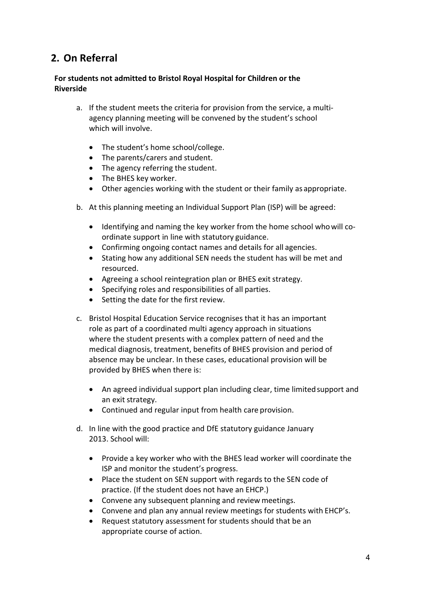#### <span id="page-3-0"></span>**2. On Referral**

#### **For students not admitted to Bristol Royal Hospital for Children or the Riverside**

- a. If the student meets the criteria for provision from the service, a multiagency planning meeting will be convened by the student's school which will involve.
	- The student's home school/college.
	- The parents/carers and student.
	- The agency referring the student.
	- The BHES key worker.
	- Other agencies working with the student or their family as appropriate.
- b. At this planning meeting an Individual Support Plan (ISP) will be agreed:
	- Identifying and naming the key worker from the home school whowill coordinate support in line with statutory guidance.
	- Confirming ongoing contact names and details for all agencies.
	- Stating how any additional SEN needs the student has will be met and resourced.
	- Agreeing a school reintegration plan or BHES exit strategy.
	- Specifying roles and responsibilities of all parties.
	- Setting the date for the first review.
- c. Bristol Hospital Education Service recognises that it has an important role as part of a coordinated multi agency approach in situations where the student presents with a complex pattern of need and the medical diagnosis, treatment, benefits of BHES provision and period of absence may be unclear. In these cases, educational provision will be provided by BHES when there is:
	- An agreed individual support plan including clear, time limited support and an exit strategy.
	- Continued and regular input from health care provision.
- d. In line with the good practice and DfE statutory guidance January 2013. School will:
	- Provide a key worker who with the BHES lead worker will coordinate the ISP and monitor the student's progress.
	- Place the student on SEN support with regards to the SEN code of practice. (If the student does not have an EHCP.)
	- Convene any subsequent planning and review meetings.
	- Convene and plan any annual review meetings for students with EHCP's.
	- Request statutory assessment for students should that be an appropriate course of action.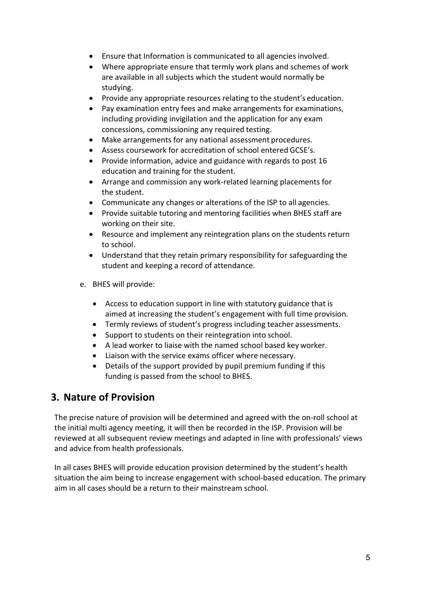- Ensure that Information is communicated to all agencies involved.
- Where appropriate ensure that termly work plans and schemes of work are available in all subjects which the student would normally be studying.
- Provide any appropriate resources relating to the student's education.
- Pay examination entry fees and make arrangements for examinations, including providing invigilation and the application for any exam concessions, commissioning any required testing.
- Make arrangements for any national assessment procedures.
- Assess coursework for accreditation of school entered GCSE's.
- Provide information, advice and guidance with regards to post 16 education and training for the student.
- Arrange and commission any work-related learning placements for the student.
- Communicate any changes or alterations of the ISP to all agencies.
- Provide suitable tutoring and mentoring facilities when BHES staff are working on their site.
- Resource and implement any reintegration plans on the students return to school.
- Understand that they retain primary responsibility for safeguarding the student and keeping a record of attendance.
- e. BHES will provide:
	- Access to education support in line with statutory guidance that is aimed at increasing the student's engagement with full time provision.
	- Termly reviews of student's progress including teacher assessments.
	- Support to students on their reintegration into school.
	- A lead worker to liaise with the named school based key worker.
	- Liaison with the service exams officer where necessary.
	- Details of the support provided by pupil premium funding if this funding is passed from the school to BHES.

#### <span id="page-4-0"></span>**3. Nature of Provision**

The precise nature of provision will be determined and agreed with the on-roll school at the initial multi agency meeting, it will then be recorded in the ISP. Provision will be reviewed at all subsequent review meetings and adapted in line with professionals' views and advice from health professionals.

In all cases BHES will provide education provision determined by the student's health situation the aim being to increase engagement with school-based education. The primary aim in all cases should be a return to their mainstream school.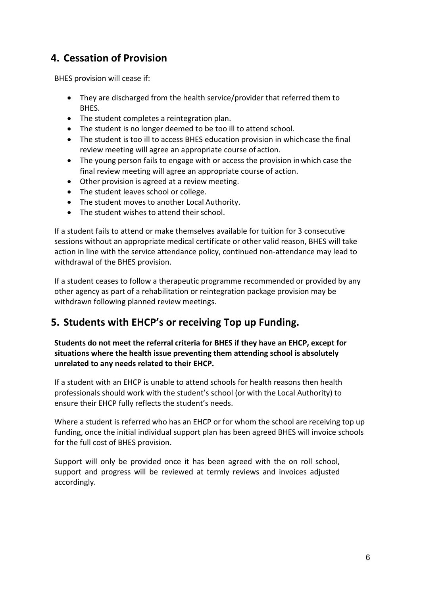#### <span id="page-5-0"></span>**4. Cessation of Provision**

BHES provision will cease if:

- They are discharged from the health service/provider that referred them to BHES.
- The student completes a reintegration plan.
- The student is no longer deemed to be too ill to attend school.
- The student is too ill to access BHES education provision in whichcase the final review meeting will agree an appropriate course of action.
- The young person fails to engage with or access the provision inwhich case the final review meeting will agree an appropriate course of action.
- Other provision is agreed at a review meeting.
- The student leaves school or college.
- The student moves to another Local Authority.
- The student wishes to attend their school.

If a student fails to attend or make themselves available for tuition for 3 consecutive sessions without an appropriate medical certificate or other valid reason, BHES will take action in line with the service attendance policy, continued non-attendance may lead to withdrawal of the BHES provision.

If a student ceases to follow a therapeutic programme recommended or provided by any other agency as part of a rehabilitation or reintegration package provision may be withdrawn following planned review meetings.

#### <span id="page-5-1"></span>**5. Students with EHCP's or receiving Top up Funding.**

**Students do not meet the referral criteria for BHES if they have an EHCP, except for situations where the health issue preventing them attending school is absolutely unrelated to any needs related to their EHCP.**

If a student with an EHCP is unable to attend schools for health reasons then health professionals should work with the student's school (or with the Local Authority) to ensure their EHCP fully reflects the student's needs.

Where a student is referred who has an EHCP or for whom the school are receiving top up funding, once the initial individual support plan has been agreed BHES will invoice schools for the full cost of BHES provision.

Support will only be provided once it has been agreed with the on roll school, support and progress will be reviewed at termly reviews and invoices adjusted accordingly.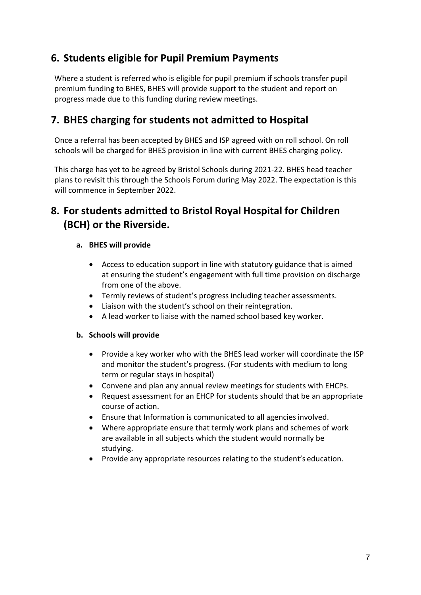#### <span id="page-6-0"></span>**6. Students eligible for Pupil Premium Payments**

Where a student is referred who is eligible for pupil premium if schools transfer pupil premium funding to BHES, BHES will provide support to the student and report on progress made due to this funding during review meetings.

#### <span id="page-6-1"></span>**7. BHES charging for students not admitted to Hospital**

Once a referral has been accepted by BHES and ISP agreed with on roll school. On roll schools will be charged for BHES provision in line with current BHES charging policy.

This charge has yet to be agreed by Bristol Schools during 2021-22. BHES head teacher plans to revisit this through the Schools Forum during May 2022. The expectation is this will commence in September 2022.

### <span id="page-6-2"></span>**8. For students admitted to Bristol Royal Hospital for Children (BCH) or the Riverside.**

#### **a. BHES will provide**

- Access to education support in line with statutory guidance that is aimed at ensuring the student's engagement with full time provision on discharge from one of the above.
- Termly reviews of student's progress including teacher assessments.
- Liaison with the student's school on their reintegration.
- A lead worker to liaise with the named school based key worker.

#### **b. Schools will provide**

- Provide a key worker who with the BHES lead worker will coordinate the ISP and monitor the student's progress. (For students with medium to long term or regular stays in hospital)
- Convene and plan any annual review meetings for students with EHCPs.
- Request assessment for an EHCP for students should that be an appropriate course of action.
- Ensure that Information is communicated to all agencies involved.
- Where appropriate ensure that termly work plans and schemes of work are available in all subjects which the student would normally be studying.
- Provide any appropriate resources relating to the student's education.